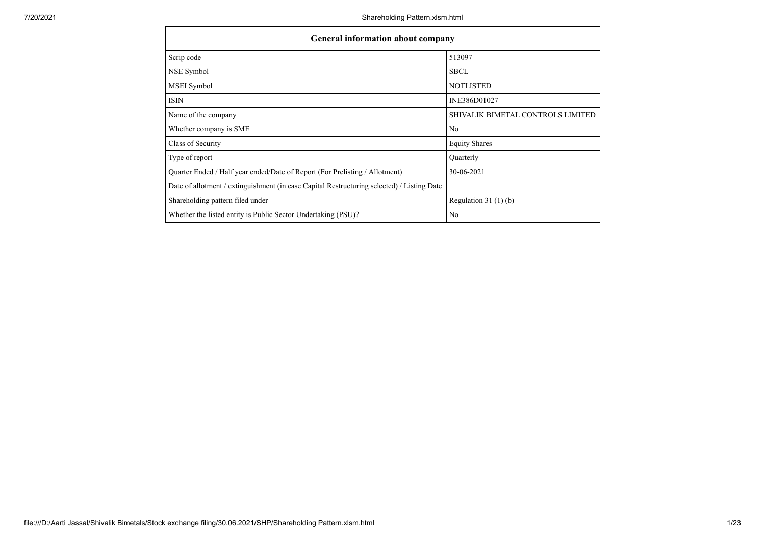| <b>General information about company</b>                                                   |                                   |
|--------------------------------------------------------------------------------------------|-----------------------------------|
| Scrip code                                                                                 | 513097                            |
| NSE Symbol                                                                                 | <b>SBCL</b>                       |
| MSEI Symbol                                                                                | <b>NOTLISTED</b>                  |
| <b>ISIN</b>                                                                                | INE386D01027                      |
| Name of the company                                                                        | SHIVALIK BIMETAL CONTROLS LIMITED |
| Whether company is SME                                                                     | No                                |
| Class of Security                                                                          | <b>Equity Shares</b>              |
| Type of report                                                                             | Quarterly                         |
| Quarter Ended / Half year ended/Date of Report (For Prelisting / Allotment)                | 30-06-2021                        |
| Date of allotment / extinguishment (in case Capital Restructuring selected) / Listing Date |                                   |
| Shareholding pattern filed under                                                           | Regulation $31(1)(b)$             |
| Whether the listed entity is Public Sector Undertaking (PSU)?                              | No                                |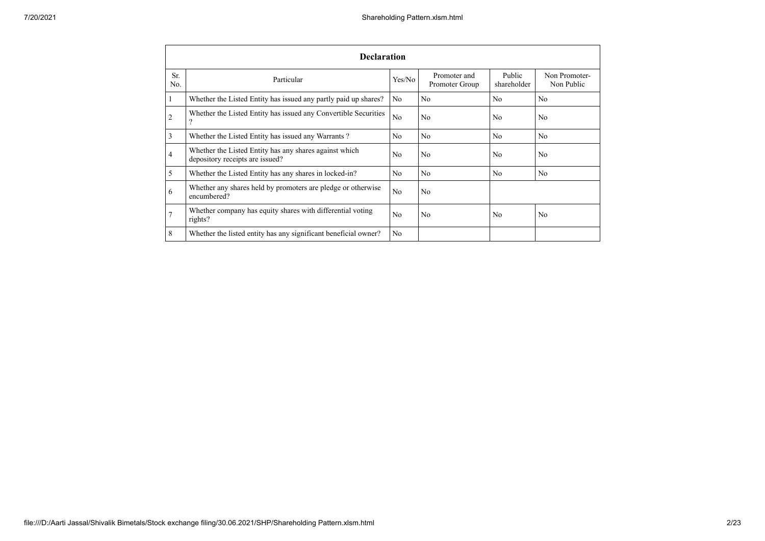|                | <b>Declaration</b>                                                                        |                |                                |                       |                             |  |  |  |  |  |  |  |
|----------------|-------------------------------------------------------------------------------------------|----------------|--------------------------------|-----------------------|-----------------------------|--|--|--|--|--|--|--|
| Sr.<br>No.     | Particular                                                                                | Yes/No         | Promoter and<br>Promoter Group | Public<br>shareholder | Non Promoter-<br>Non Public |  |  |  |  |  |  |  |
| $\mathbf{1}$   | Whether the Listed Entity has issued any partly paid up shares?                           | No             | N <sub>o</sub>                 | N <sub>o</sub>        | No                          |  |  |  |  |  |  |  |
| $\overline{2}$ | Whether the Listed Entity has issued any Convertible Securities<br>?                      | No             | N <sub>o</sub>                 | No                    | No                          |  |  |  |  |  |  |  |
| 3              | Whether the Listed Entity has issued any Warrants?                                        | No             | N <sub>o</sub>                 | No                    | No                          |  |  |  |  |  |  |  |
| $\overline{4}$ | Whether the Listed Entity has any shares against which<br>depository receipts are issued? | N <sub>0</sub> | N <sub>o</sub>                 | No                    | No                          |  |  |  |  |  |  |  |
| 5              | Whether the Listed Entity has any shares in locked-in?                                    | No             | N <sub>o</sub>                 | No                    | No                          |  |  |  |  |  |  |  |
| 6              | Whether any shares held by promoters are pledge or otherwise<br>encumbered?               | N <sub>o</sub> | N <sub>o</sub>                 |                       |                             |  |  |  |  |  |  |  |
| $\overline{7}$ | Whether company has equity shares with differential voting<br>rights?                     | No             | N <sub>o</sub>                 | N <sub>o</sub>        | No                          |  |  |  |  |  |  |  |
| 8              | Whether the listed entity has any significant beneficial owner?                           | N <sub>o</sub> |                                |                       |                             |  |  |  |  |  |  |  |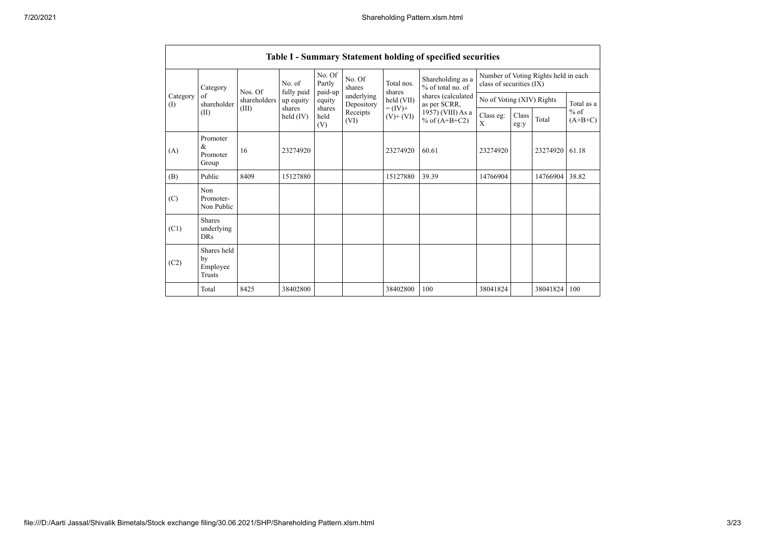|                 | Table I - Summary Statement holding of specified securities |              |                       |                             |                          |                              |                                        |                                                                  |               |          |                     |  |  |
|-----------------|-------------------------------------------------------------|--------------|-----------------------|-----------------------------|--------------------------|------------------------------|----------------------------------------|------------------------------------------------------------------|---------------|----------|---------------------|--|--|
|                 | Category                                                    | Nos. Of      | No. of<br>fully paid  | No. Of<br>Partly<br>paid-up | No. Of<br>shares         | Total nos.<br>shares         | Shareholding as a<br>% of total no. of | Number of Voting Rights held in each<br>class of securities (IX) |               |          |                     |  |  |
| Category<br>(1) | of<br>shareholder                                           | shareholders | up equity             | equity                      | underlying<br>Depository | held (VII)                   | shares (calculated<br>as per SCRR,     | No of Voting (XIV) Rights                                        |               |          | Total as a          |  |  |
|                 | (II)                                                        | (III)        | shares<br>held $(IV)$ | shares<br>held<br>(V)       | Receipts<br>(VI)         | $= (IV) +$<br>$(V)$ + $(VI)$ | 1957) (VIII) As a<br>% of $(A+B+C2)$   | Class eg:<br>X                                                   | Class<br>eg:y | Total    | $%$ of<br>$(A+B+C)$ |  |  |
| (A)             | Promoter<br>&<br>Promoter<br>Group                          | 16           | 23274920              |                             |                          | 23274920                     | 60.61                                  | 23274920                                                         |               | 23274920 | 61.18               |  |  |
| (B)             | Public                                                      | 8409         | 15127880              |                             |                          | 15127880                     | 39.39                                  | 14766904                                                         |               | 14766904 | 38.82               |  |  |
| (C)             | Non<br>Promoter-<br>Non Public                              |              |                       |                             |                          |                              |                                        |                                                                  |               |          |                     |  |  |
| (C1)            | <b>Shares</b><br>underlying<br><b>DRs</b>                   |              |                       |                             |                          |                              |                                        |                                                                  |               |          |                     |  |  |
| (C2)            | Shares held<br>by<br>Employee<br>Trusts                     |              |                       |                             |                          |                              |                                        |                                                                  |               |          |                     |  |  |
|                 | Total                                                       | 8425         | 38402800              |                             |                          | 38402800                     | 100                                    | 38041824                                                         |               | 38041824 | 100                 |  |  |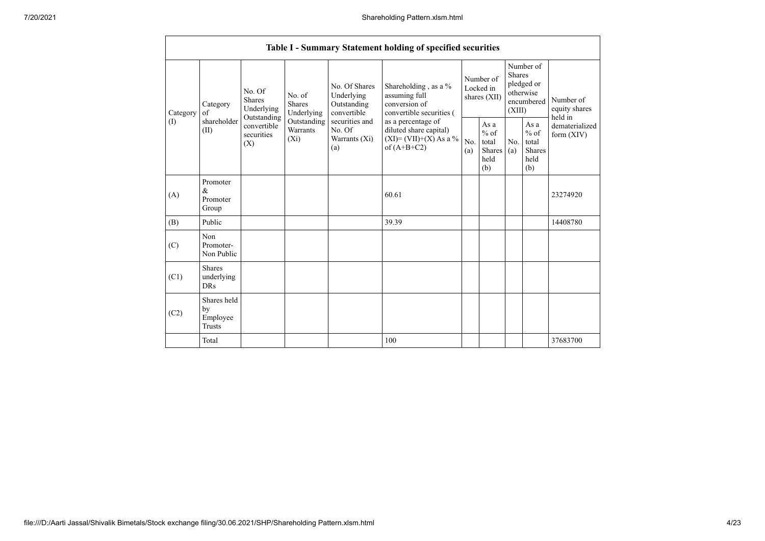|          |                                                                                            |                                  |                                                           |                                                                                    | Table I - Summary Statement holding of specified securities                              |            |                                                                               |            |                                                  |                                |
|----------|--------------------------------------------------------------------------------------------|----------------------------------|-----------------------------------------------------------|------------------------------------------------------------------------------------|------------------------------------------------------------------------------------------|------------|-------------------------------------------------------------------------------|------------|--------------------------------------------------|--------------------------------|
| Category | No. Of<br>No. of<br><b>Shares</b><br>Shares<br>Category<br>Underlying<br>of<br>Outstanding | Underlying                       | No. Of Shares<br>Underlying<br>Outstanding<br>convertible | Shareholding, as a %<br>assuming full<br>conversion of<br>convertible securities ( | Number of<br>Locked in<br>shares (XII)                                                   |            | Number of<br><b>Shares</b><br>pledged or<br>otherwise<br>encumbered<br>(XIII) |            | Number of<br>equity shares<br>held in            |                                |
| (I)      | shareholder<br>(II)                                                                        | convertible<br>securities<br>(X) | Outstanding<br>Warrants<br>$(X_i)$                        | securities and<br>No. Of<br>Warrants (Xi)<br>(a)                                   | as a percentage of<br>diluted share capital)<br>$(XI)=(VII)+(X) As a %$<br>of $(A+B+C2)$ | No.<br>(a) | As $a$<br>$%$ of<br>total<br><b>Shares</b><br>held<br>(b)                     | No.<br>(a) | As a<br>$%$ of<br>total<br>Shares<br>held<br>(b) | dematerialized<br>form $(XIV)$ |
| (A)      | Promoter<br>$\&$<br>Promoter<br>Group                                                      |                                  |                                                           |                                                                                    | 60.61                                                                                    |            |                                                                               |            |                                                  | 23274920                       |
| (B)      | Public                                                                                     |                                  |                                                           |                                                                                    | 39.39                                                                                    |            |                                                                               |            |                                                  | 14408780                       |
| (C)      | Non<br>Promoter-<br>Non Public                                                             |                                  |                                                           |                                                                                    |                                                                                          |            |                                                                               |            |                                                  |                                |
| (C1)     | <b>Shares</b><br>underlying<br><b>DRs</b>                                                  |                                  |                                                           |                                                                                    |                                                                                          |            |                                                                               |            |                                                  |                                |
| (C2)     | Shares held<br>by<br>Employee<br><b>Trusts</b>                                             |                                  |                                                           |                                                                                    |                                                                                          |            |                                                                               |            |                                                  |                                |
|          | Total                                                                                      |                                  |                                                           |                                                                                    | 100                                                                                      |            |                                                                               |            |                                                  | 37683700                       |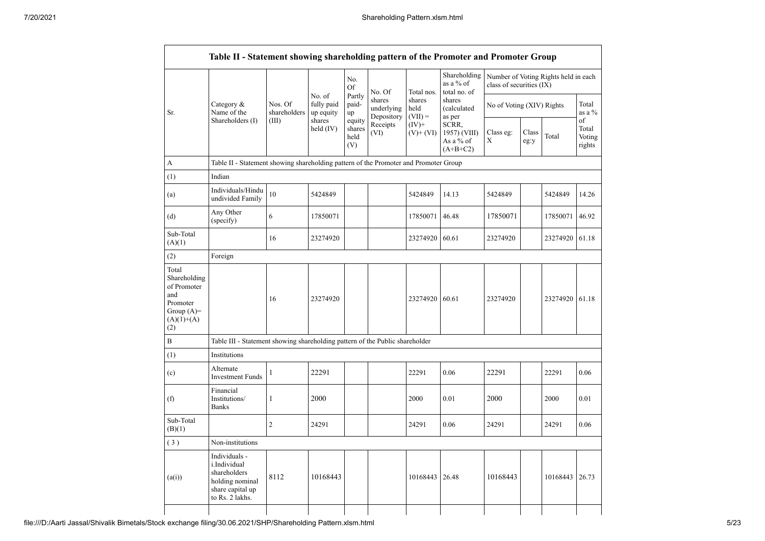|                                                                                                |                                                                                                         |                         |                                   | No.<br>Of                       | No. Of                             | Total nos.                  | Shareholding<br>as a % of<br>total no. of        | class of securities (IX)  |               | Number of Voting Rights held in each |                                 |
|------------------------------------------------------------------------------------------------|---------------------------------------------------------------------------------------------------------|-------------------------|-----------------------------------|---------------------------------|------------------------------------|-----------------------------|--------------------------------------------------|---------------------------|---------------|--------------------------------------|---------------------------------|
| Sr.                                                                                            | Category &<br>Name of the                                                                               | Nos. Of<br>shareholders | No. of<br>fully paid<br>up equity | Partly<br>paid-<br>up           | shares<br>underlying<br>Depository | shares<br>held<br>$(VII) =$ | shares<br>(calculated<br>as per                  | No of Voting (XIV) Rights |               |                                      | Total<br>as a %                 |
|                                                                                                | Shareholders (I)                                                                                        | (III)                   | shares<br>held $(IV)$             | equity<br>shares<br>held<br>(V) | Receipts<br>(VI)                   | $(IV)+$<br>$(V)$ + $(VI)$   | SCRR,<br>1957) (VIII)<br>As a % of<br>$(A+B+C2)$ | Class eg:<br>Χ            | Class<br>eg:y | Total                                | of<br>Total<br>Voting<br>rights |
| А                                                                                              | Table II - Statement showing shareholding pattern of the Promoter and Promoter Group                    |                         |                                   |                                 |                                    |                             |                                                  |                           |               |                                      |                                 |
| (1)                                                                                            | Indian                                                                                                  |                         |                                   |                                 |                                    |                             |                                                  |                           |               |                                      |                                 |
| (a)                                                                                            | Individuals/Hindu<br>undivided Family                                                                   | 10                      | 5424849                           |                                 |                                    | 5424849                     | 14.13                                            | 5424849                   |               | 5424849                              | 14.26                           |
| (d)                                                                                            | Any Other<br>(specify)                                                                                  | 6                       | 17850071                          |                                 |                                    | 17850071                    | 46.48                                            | 17850071                  |               | 17850071                             | 46.92                           |
| Sub-Total<br>(A)(1)                                                                            |                                                                                                         | 16                      | 23274920                          |                                 |                                    | 23274920                    | 60.61                                            | 23274920                  |               | 23274920                             | 61.18                           |
| (2)                                                                                            | Foreign                                                                                                 |                         |                                   |                                 |                                    |                             |                                                  |                           |               |                                      |                                 |
| Total<br>Shareholding<br>of Promoter<br>and<br>Promoter<br>Group $(A)=$<br>$(A)(1)+(A)$<br>(2) |                                                                                                         | 16                      | 23274920                          |                                 |                                    | 23274920                    | 60.61                                            | 23274920                  |               | 23274920                             | 61.18                           |
| $\, {\bf B}$                                                                                   | Table III - Statement showing shareholding pattern of the Public shareholder                            |                         |                                   |                                 |                                    |                             |                                                  |                           |               |                                      |                                 |
| (1)                                                                                            | Institutions                                                                                            |                         |                                   |                                 |                                    |                             |                                                  |                           |               |                                      |                                 |
| (c)                                                                                            | Alternate<br><b>Investment Funds</b>                                                                    | $\mathbf{1}$            | 22291                             |                                 |                                    | 22291                       | 0.06                                             | 22291                     |               | 22291                                | 0.06                            |
| (f)                                                                                            | Financial<br>Institutions/<br><b>Banks</b>                                                              | $\mathbf{1}$            | 2000                              |                                 |                                    | 2000                        | 0.01                                             | 2000                      |               | 2000                                 | 0.01                            |
| Sub-Total<br>(B)(1)                                                                            |                                                                                                         | $\overline{2}$          | 24291                             |                                 |                                    | 24291                       | 0.06                                             | 24291                     |               | 24291                                | 0.06                            |
| (3)                                                                                            | Non-institutions                                                                                        |                         |                                   |                                 |                                    |                             |                                                  |                           |               |                                      |                                 |
| (a(i))                                                                                         | Individuals -<br>i.Individual<br>shareholders<br>holding nominal<br>share capital up<br>to Rs. 2 lakhs. | 8112                    | 10168443                          |                                 |                                    | 10168443 26.48              |                                                  | 10168443                  |               | 10168443 26.73                       |                                 |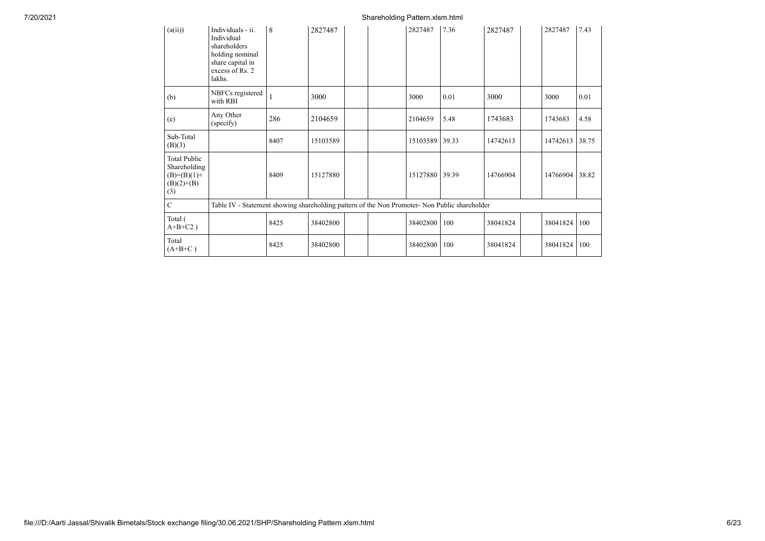## 7/20/2021 Shareholding Pattern.xlsm.html

| (a(ii))                                                                     | Individuals - ii.<br>Individual<br>shareholders<br>holding nominal<br>share capital in<br>excess of Rs. 2<br>lakhs. | 8    | 2827487  |  | 2827487  | 7.36  | 2827487  | 2827487  | 7.43  |
|-----------------------------------------------------------------------------|---------------------------------------------------------------------------------------------------------------------|------|----------|--|----------|-------|----------|----------|-------|
| (b)                                                                         | NBFCs registered<br>with RBI                                                                                        |      | 3000     |  | 3000     | 0.01  | 3000     | 3000     | 0.01  |
| (e)                                                                         | Any Other<br>(specify)                                                                                              | 286  | 2104659  |  | 2104659  | 5.48  | 1743683  | 1743683  | 4.58  |
| Sub-Total<br>(B)(3)                                                         |                                                                                                                     | 8407 | 15103589 |  | 15103589 | 39.33 | 14742613 | 14742613 | 38.75 |
| <b>Total Public</b><br>Shareholding<br>$(B)=(B)(1)+$<br>$(B)(2)+(B)$<br>(3) |                                                                                                                     | 8409 | 15127880 |  | 15127880 | 39.39 | 14766904 | 14766904 | 38.82 |
| $\mathbf C$                                                                 | Table IV - Statement showing shareholding pattern of the Non Promoter- Non Public shareholder                       |      |          |  |          |       |          |          |       |
| Total (<br>$A+B+C2$ )                                                       |                                                                                                                     | 8425 | 38402800 |  | 38402800 | 100   | 38041824 | 38041824 | 100   |
| Total<br>$(A+B+C)$                                                          |                                                                                                                     | 8425 | 38402800 |  | 38402800 | 100   | 38041824 | 38041824 | 100   |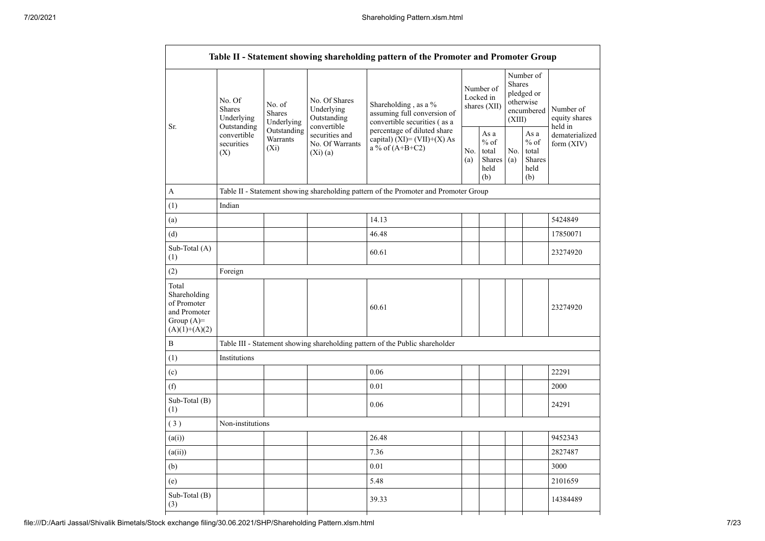|                                                                                         |                                                      |                                       |                                                           | Table II - Statement showing shareholding pattern of the Promoter and Promoter Group  |            |                                                  |                         |                                                    |                                       |
|-----------------------------------------------------------------------------------------|------------------------------------------------------|---------------------------------------|-----------------------------------------------------------|---------------------------------------------------------------------------------------|------------|--------------------------------------------------|-------------------------|----------------------------------------------------|---------------------------------------|
| Sr.                                                                                     | No. Of<br><b>Shares</b><br>Underlying<br>Outstanding | No. of<br><b>Shares</b><br>Underlying | No. Of Shares<br>Underlying<br>Outstanding<br>convertible | Shareholding, as a $%$<br>assuming full conversion of<br>convertible securities (as a |            | Number of<br>Locked in<br>shares (XII)           | <b>Shares</b><br>(XIII) | Number of<br>pledged or<br>otherwise<br>encumbered | Number of<br>equity shares<br>held in |
|                                                                                         | convertible<br>securities<br>(X)                     | Outstanding<br>Warrants<br>$(X_i)$    | securities and<br>No. Of Warrants<br>$(Xi)$ (a)           | percentage of diluted share<br>capital) $(XI) = (VII)+(X) As$<br>a % of $(A+B+C2)$    | No.<br>(a) | As a<br>$%$ of<br>total<br>Shares<br>held<br>(b) | No.<br>(a)              | As a<br>$%$ of<br>total<br>Shares<br>held<br>(b)   | dematerialized<br>form $(XIV)$        |
| A                                                                                       |                                                      |                                       |                                                           | Table II - Statement showing shareholding pattern of the Promoter and Promoter Group  |            |                                                  |                         |                                                    |                                       |
| (1)                                                                                     | Indian                                               |                                       |                                                           |                                                                                       |            |                                                  |                         |                                                    |                                       |
| (a)                                                                                     |                                                      |                                       |                                                           | 14.13                                                                                 |            |                                                  |                         |                                                    | 5424849                               |
| (d)                                                                                     |                                                      |                                       |                                                           | 46.48                                                                                 |            |                                                  |                         |                                                    | 17850071                              |
| Sub-Total (A)<br>(1)                                                                    |                                                      |                                       |                                                           | 60.61                                                                                 |            |                                                  |                         |                                                    | 23274920                              |
| (2)                                                                                     | Foreign                                              |                                       |                                                           |                                                                                       |            |                                                  |                         |                                                    |                                       |
| Total<br>Shareholding<br>of Promoter<br>and Promoter<br>Group $(A)=$<br>$(A)(1)+(A)(2)$ |                                                      |                                       |                                                           | 60.61                                                                                 |            |                                                  |                         |                                                    | 23274920                              |
| B                                                                                       |                                                      |                                       |                                                           | Table III - Statement showing shareholding pattern of the Public shareholder          |            |                                                  |                         |                                                    |                                       |
| (1)                                                                                     | Institutions                                         |                                       |                                                           |                                                                                       |            |                                                  |                         |                                                    |                                       |
| (c)                                                                                     |                                                      |                                       |                                                           | 0.06                                                                                  |            |                                                  |                         |                                                    | 22291                                 |
| (f)                                                                                     |                                                      |                                       |                                                           | 0.01                                                                                  |            |                                                  |                         |                                                    | 2000                                  |
| Sub-Total (B)<br>(1)                                                                    |                                                      |                                       |                                                           | 0.06                                                                                  |            |                                                  |                         |                                                    | 24291                                 |
| (3)                                                                                     | Non-institutions                                     |                                       |                                                           |                                                                                       |            |                                                  |                         |                                                    |                                       |
| (a(i))                                                                                  |                                                      |                                       |                                                           | 26.48                                                                                 |            |                                                  |                         |                                                    | 9452343                               |
| (a(ii))                                                                                 |                                                      |                                       |                                                           | 7.36                                                                                  |            |                                                  |                         |                                                    | 2827487                               |
| (b)                                                                                     |                                                      |                                       |                                                           | 0.01                                                                                  |            |                                                  |                         |                                                    | 3000                                  |
| (e)                                                                                     |                                                      |                                       |                                                           | 5.48                                                                                  |            |                                                  |                         |                                                    | 2101659                               |
| Sub-Total (B)<br>(3)                                                                    |                                                      |                                       |                                                           | 39.33                                                                                 |            |                                                  |                         |                                                    | 14384489                              |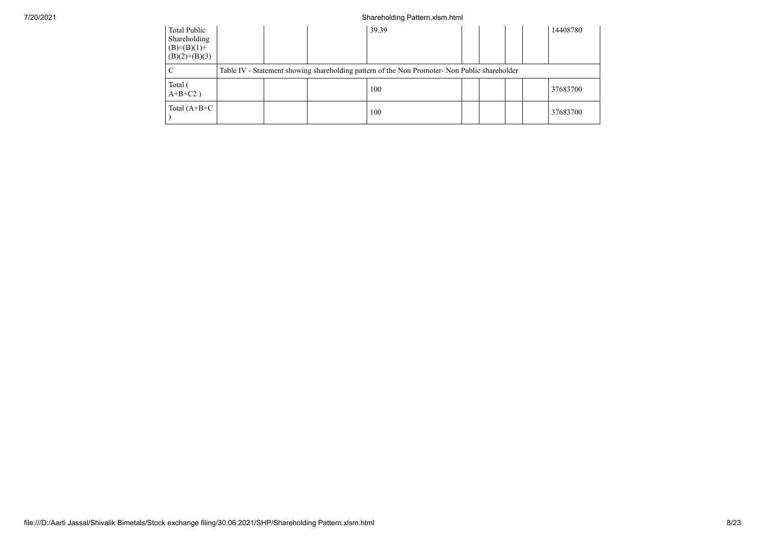## 7/20/2021 Shareholding Pattern.xlsm.html

| Total Public<br>Shareholding<br>$(B)=(B)(1)+$<br>$(B)(2)+(B)(3)$ |  | 39.39                                                                                         |  |  | 14408780 |
|------------------------------------------------------------------|--|-----------------------------------------------------------------------------------------------|--|--|----------|
|                                                                  |  | Table IV - Statement showing shareholding pattern of the Non Promoter- Non Public shareholder |  |  |          |
| Total (<br>$A+B+C2$ )                                            |  | 100                                                                                           |  |  | 37683700 |
| Total $(A+B+C$                                                   |  | 100                                                                                           |  |  | 37683700 |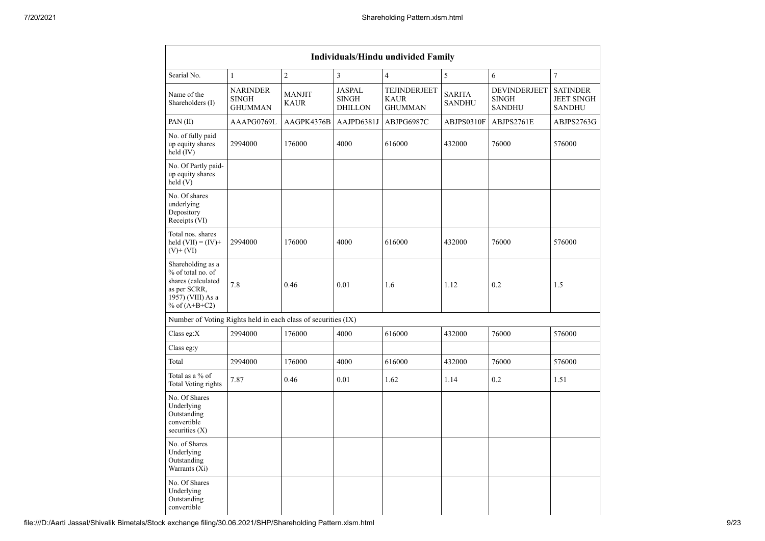| Individuals/Hindu undivided Family                                                                                   |                                                   |                              |                                                 |                                               |                                |                                               |                                                       |  |  |  |  |  |
|----------------------------------------------------------------------------------------------------------------------|---------------------------------------------------|------------------------------|-------------------------------------------------|-----------------------------------------------|--------------------------------|-----------------------------------------------|-------------------------------------------------------|--|--|--|--|--|
| Searial No.                                                                                                          | $\mathbf{1}$                                      | $\overline{2}$               | $\overline{3}$                                  | $\overline{4}$                                | 5                              | 6                                             | $\overline{7}$                                        |  |  |  |  |  |
| Name of the<br>Shareholders (I)                                                                                      | <b>NARINDER</b><br><b>SINGH</b><br><b>GHUMMAN</b> | <b>MANJIT</b><br><b>KAUR</b> | <b>JASPAL</b><br><b>SINGH</b><br><b>DHILLON</b> | TEJINDERJEET<br><b>KAUR</b><br><b>GHUMMAN</b> | <b>SARITA</b><br><b>SANDHU</b> | DEVINDERJEET<br><b>SINGH</b><br><b>SANDHU</b> | <b>SATINDER</b><br><b>JEET SINGH</b><br><b>SANDHU</b> |  |  |  |  |  |
| PAN(II)                                                                                                              | AAAPG0769L                                        | AAGPK4376B                   | AAJPD6381J                                      | ABJPG6987C                                    | ABJPS0310F                     | ABJPS2761E                                    | ABJPS2763G                                            |  |  |  |  |  |
| No. of fully paid<br>up equity shares<br>held (IV)                                                                   | 2994000                                           | 176000                       | 4000                                            | 616000                                        | 432000                         | 76000                                         | 576000                                                |  |  |  |  |  |
| No. Of Partly paid-<br>up equity shares<br>held(V)                                                                   |                                                   |                              |                                                 |                                               |                                |                                               |                                                       |  |  |  |  |  |
| No. Of shares<br>underlying<br>Depository<br>Receipts (VI)                                                           |                                                   |                              |                                                 |                                               |                                |                                               |                                                       |  |  |  |  |  |
| Total nos. shares<br>held $(VII) = (IV) +$<br>$(V)$ + $(VI)$                                                         | 2994000                                           | 176000                       | 4000                                            | 616000                                        | 432000                         | 76000                                         | 576000                                                |  |  |  |  |  |
| Shareholding as a<br>% of total no. of<br>shares (calculated<br>as per SCRR,<br>1957) (VIII) As a<br>% of $(A+B+C2)$ | 7.8                                               | 0.46                         | 0.01                                            | 1.6                                           | 1.12                           | 0.2                                           | 1.5                                                   |  |  |  |  |  |
| Number of Voting Rights held in each class of securities (IX)                                                        |                                                   |                              |                                                 |                                               |                                |                                               |                                                       |  |  |  |  |  |
| Class eg: $X$                                                                                                        | 2994000                                           | 176000                       | 4000                                            | 616000                                        | 432000                         | 76000                                         | 576000                                                |  |  |  |  |  |
| Class eg:y                                                                                                           |                                                   |                              |                                                 |                                               |                                |                                               |                                                       |  |  |  |  |  |
| Total                                                                                                                | 2994000                                           | 176000                       | 4000                                            | 616000                                        | 432000                         | 76000                                         | 576000                                                |  |  |  |  |  |
| Total as a % of<br>Total Voting rights                                                                               | 7.87                                              | 0.46                         | 0.01                                            | 1.62                                          | 1.14                           | 0.2                                           | 1.51                                                  |  |  |  |  |  |
| No. Of Shares<br>Underlying<br>Outstanding<br>convertible<br>securities $(X)$                                        |                                                   |                              |                                                 |                                               |                                |                                               |                                                       |  |  |  |  |  |
| No. of Shares<br>Underlying<br>Outstanding<br>Warrants (Xi)                                                          |                                                   |                              |                                                 |                                               |                                |                                               |                                                       |  |  |  |  |  |
| No. Of Shares<br>Underlying<br>Outstanding<br>convertible                                                            |                                                   |                              |                                                 |                                               |                                |                                               |                                                       |  |  |  |  |  |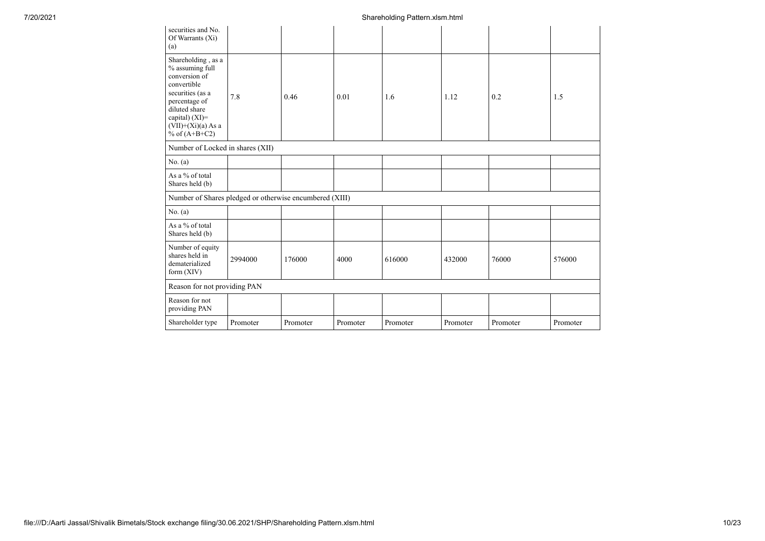| securities and No.<br>Of Warrants (Xi)<br>(a)                                                                                                                                            |          |          |          |          |          |          |          |
|------------------------------------------------------------------------------------------------------------------------------------------------------------------------------------------|----------|----------|----------|----------|----------|----------|----------|
| Shareholding, as a<br>% assuming full<br>conversion of<br>convertible<br>securities (as a<br>percentage of<br>diluted share<br>capital) (XI)=<br>$(VII)+(Xi)(a)$ As a<br>% of $(A+B+C2)$ | 7.8      | 0.46     | 0.01     | 1.6      | 1.12     | 0.2      | 1.5      |
| Number of Locked in shares (XII)                                                                                                                                                         |          |          |          |          |          |          |          |
| No. (a)                                                                                                                                                                                  |          |          |          |          |          |          |          |
| As a % of total<br>Shares held (b)                                                                                                                                                       |          |          |          |          |          |          |          |
| Number of Shares pledged or otherwise encumbered (XIII)                                                                                                                                  |          |          |          |          |          |          |          |
| No. (a)                                                                                                                                                                                  |          |          |          |          |          |          |          |
| As a % of total<br>Shares held (b)                                                                                                                                                       |          |          |          |          |          |          |          |
| Number of equity<br>shares held in<br>dematerialized<br>form $(XIV)$                                                                                                                     | 2994000  | 176000   | 4000     | 616000   | 432000   | 76000    | 576000   |
| Reason for not providing PAN                                                                                                                                                             |          |          |          |          |          |          |          |
| Reason for not<br>providing PAN                                                                                                                                                          |          |          |          |          |          |          |          |
| Shareholder type                                                                                                                                                                         | Promoter | Promoter | Promoter | Promoter | Promoter | Promoter | Promoter |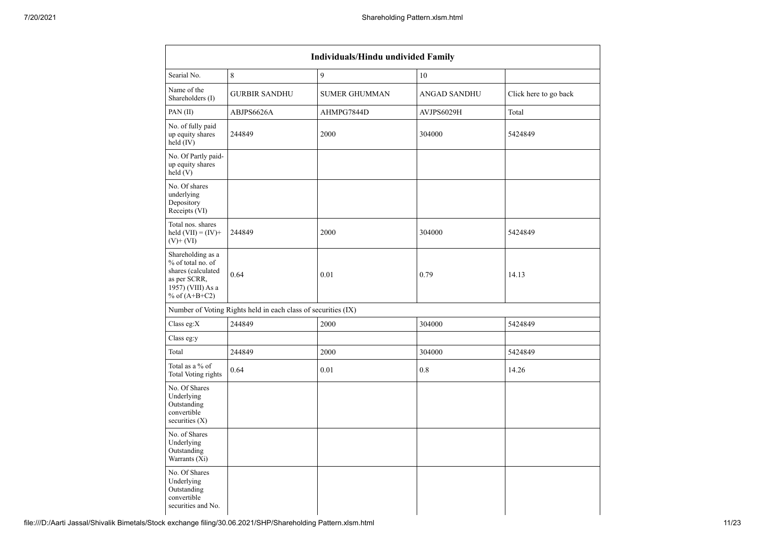| Individuals/Hindu undivided Family                                                                                   |                                                               |                      |              |                       |  |  |  |  |  |  |  |
|----------------------------------------------------------------------------------------------------------------------|---------------------------------------------------------------|----------------------|--------------|-----------------------|--|--|--|--|--|--|--|
| Searial No.                                                                                                          | 8                                                             | 9                    | 10           |                       |  |  |  |  |  |  |  |
| Name of the<br>Shareholders (I)                                                                                      | <b>GURBIR SANDHU</b>                                          | <b>SUMER GHUMMAN</b> | ANGAD SANDHU | Click here to go back |  |  |  |  |  |  |  |
| PAN (II)                                                                                                             | ABJPS6626A                                                    | AHMPG7844D           | AVJPS6029H   | Total                 |  |  |  |  |  |  |  |
| No. of fully paid<br>up equity shares<br>held (IV)                                                                   | 244849                                                        | 2000                 | 304000       | 5424849               |  |  |  |  |  |  |  |
| No. Of Partly paid-<br>up equity shares<br>$\text{held}(V)$                                                          |                                                               |                      |              |                       |  |  |  |  |  |  |  |
| No. Of shares<br>underlying<br>Depository<br>Receipts (VI)                                                           |                                                               |                      |              |                       |  |  |  |  |  |  |  |
| Total nos. shares<br>held $(VII) = (IV) +$<br>$(V)$ + $(VI)$                                                         | 244849                                                        | 2000                 | 304000       | 5424849               |  |  |  |  |  |  |  |
| Shareholding as a<br>% of total no. of<br>shares (calculated<br>as per SCRR,<br>1957) (VIII) As a<br>% of $(A+B+C2)$ | 0.64                                                          | 0.01                 | 0.79         | 14.13                 |  |  |  |  |  |  |  |
|                                                                                                                      | Number of Voting Rights held in each class of securities (IX) |                      |              |                       |  |  |  |  |  |  |  |
| Class eg: $X$                                                                                                        | 244849                                                        | 2000                 | 304000       | 5424849               |  |  |  |  |  |  |  |
| Class eg:y                                                                                                           |                                                               |                      |              |                       |  |  |  |  |  |  |  |
| Total                                                                                                                | 244849                                                        | 2000                 | 304000       | 5424849               |  |  |  |  |  |  |  |
| Total as a % of<br>Total Voting rights                                                                               | 0.64                                                          | $0.01\,$             | $0.8\,$      | 14.26                 |  |  |  |  |  |  |  |
| No. Of Shares<br>Underlying<br>Outstanding<br>convertible<br>securities $(X)$                                        |                                                               |                      |              |                       |  |  |  |  |  |  |  |
| No. of Shares<br>Underlying<br>Outstanding<br>Warrants (Xi)                                                          |                                                               |                      |              |                       |  |  |  |  |  |  |  |
| No. Of Shares<br>Underlying<br>Outstanding<br>convertible<br>securities and No.                                      |                                                               |                      |              |                       |  |  |  |  |  |  |  |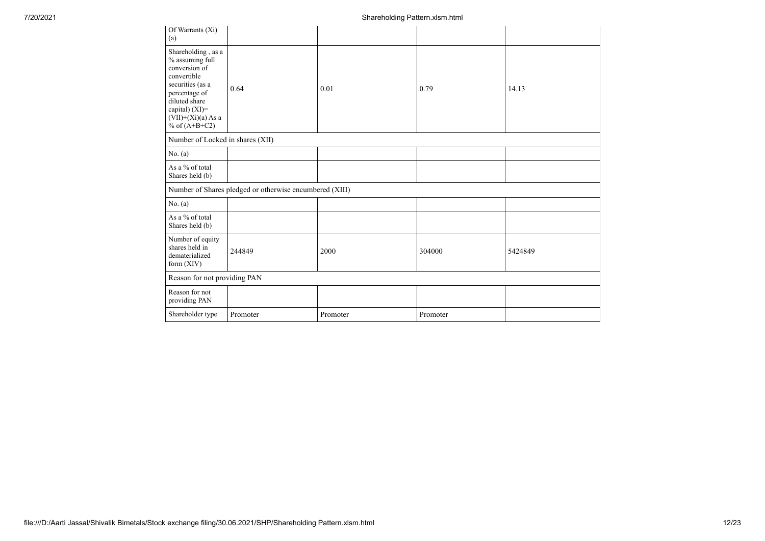| Of Warrants (Xi)<br>(a)                                                                                                                                                                     |                                                         |          |          |         |
|---------------------------------------------------------------------------------------------------------------------------------------------------------------------------------------------|---------------------------------------------------------|----------|----------|---------|
| Shareholding, as a<br>$\%$ assuming full<br>conversion of<br>convertible<br>securities (as a<br>percentage of<br>diluted share<br>capital) (XI)=<br>$(VII)+(Xi)(a) As a$<br>% of $(A+B+C2)$ | 0.64                                                    | 0.01     | 0.79     | 14.13   |
| Number of Locked in shares (XII)                                                                                                                                                            |                                                         |          |          |         |
| No. $(a)$                                                                                                                                                                                   |                                                         |          |          |         |
| As a % of total<br>Shares held (b)                                                                                                                                                          |                                                         |          |          |         |
|                                                                                                                                                                                             | Number of Shares pledged or otherwise encumbered (XIII) |          |          |         |
| No. (a)                                                                                                                                                                                     |                                                         |          |          |         |
| As a % of total<br>Shares held (b)                                                                                                                                                          |                                                         |          |          |         |
| Number of equity<br>shares held in<br>dematerialized<br>form $(XIV)$                                                                                                                        | 244849                                                  | 2000     | 304000   | 5424849 |
| Reason for not providing PAN                                                                                                                                                                |                                                         |          |          |         |
| Reason for not<br>providing PAN                                                                                                                                                             |                                                         |          |          |         |
| Shareholder type                                                                                                                                                                            | Promoter                                                | Promoter | Promoter |         |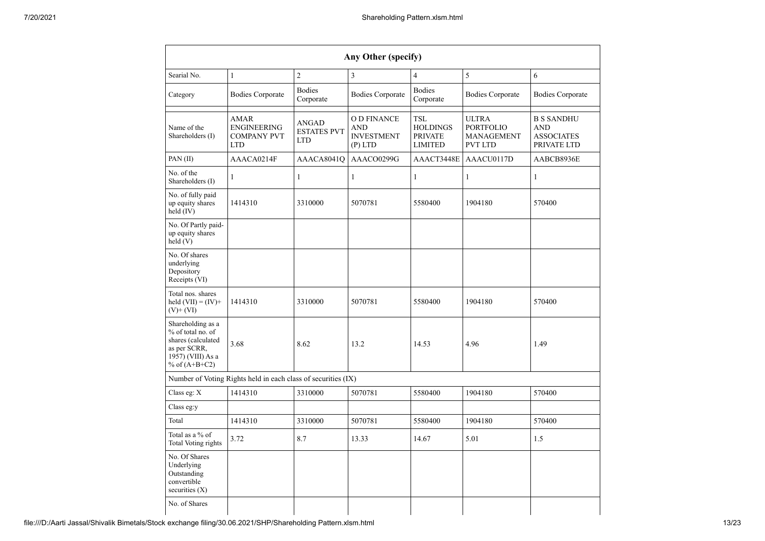|                                                                                                                      |                                                               |                                           | Any Other (specify)                                        |                                                                   |                                                                  |                                                              |
|----------------------------------------------------------------------------------------------------------------------|---------------------------------------------------------------|-------------------------------------------|------------------------------------------------------------|-------------------------------------------------------------------|------------------------------------------------------------------|--------------------------------------------------------------|
| Searial No.                                                                                                          | $\mathbf{1}$                                                  | $\overline{2}$                            | $\overline{3}$                                             | $\overline{4}$                                                    | 5                                                                | 6                                                            |
| Category                                                                                                             | <b>Bodies Corporate</b>                                       | <b>Bodies</b><br>Corporate                | <b>Bodies Corporate</b>                                    | <b>Bodies</b><br>Corporate                                        | <b>Bodies Corporate</b>                                          | <b>Bodies Corporate</b>                                      |
| Name of the<br>Shareholders (I)                                                                                      | AMAR<br>ENGINEERING<br><b>COMPANY PVT</b><br><b>LTD</b>       | ANGAD<br><b>ESTATES PVT</b><br><b>LTD</b> | <b>OD FINANCE</b><br>AND<br><b>INVESTMENT</b><br>$(P)$ LTD | <b>TSL</b><br><b>HOLDINGS</b><br><b>PRIVATE</b><br><b>LIMITED</b> | <b>ULTRA</b><br><b>PORTFOLIO</b><br>MANAGEMENT<br><b>PVT LTD</b> | <b>B S SANDHU</b><br>AND<br><b>ASSOCIATES</b><br>PRIVATE LTD |
| PAN (II)                                                                                                             | AAACA0214F                                                    | AAACA8041O                                | AAACO0299G                                                 | AAACT3448E                                                        | AAACU0117D                                                       | AABCB8936E                                                   |
| No. of the<br>Shareholders (I)                                                                                       | $\mathbf{1}$                                                  | 1                                         | 1                                                          | $\mathbf{1}$                                                      | 1                                                                | $\mathbf{1}$                                                 |
| No. of fully paid<br>up equity shares<br>held (IV)                                                                   | 1414310                                                       | 3310000                                   | 5070781                                                    | 5580400                                                           | 1904180                                                          | 570400                                                       |
| No. Of Partly paid-<br>up equity shares<br>held(V)                                                                   |                                                               |                                           |                                                            |                                                                   |                                                                  |                                                              |
| No. Of shares<br>underlying<br>Depository<br>Receipts (VI)                                                           |                                                               |                                           |                                                            |                                                                   |                                                                  |                                                              |
| Total nos. shares<br>held $(VII) = (IV) +$<br>$(V)$ + $(VI)$                                                         | 1414310                                                       | 3310000                                   | 5070781                                                    | 5580400                                                           | 1904180                                                          | 570400                                                       |
| Shareholding as a<br>% of total no. of<br>shares (calculated<br>as per SCRR,<br>1957) (VIII) As a<br>% of $(A+B+C2)$ | 3.68                                                          | 8.62                                      | 13.2                                                       | 14.53                                                             | 4.96                                                             | 1.49                                                         |
|                                                                                                                      | Number of Voting Rights held in each class of securities (IX) |                                           |                                                            |                                                                   |                                                                  |                                                              |
| Class eg: X                                                                                                          | 1414310                                                       | 3310000                                   | 5070781                                                    | 5580400                                                           | 1904180                                                          | 570400                                                       |
| Class eg:y                                                                                                           |                                                               |                                           |                                                            |                                                                   |                                                                  |                                                              |
| Total                                                                                                                | 1414310                                                       | 3310000                                   | 5070781                                                    | 5580400                                                           | 1904180                                                          | 570400                                                       |
| Total as a % of<br>Total Voting rights                                                                               | 3.72                                                          | 8.7                                       | 13.33                                                      | 14.67                                                             | 5.01                                                             | 1.5                                                          |
| No. Of Shares<br>Underlying<br>Outstanding<br>convertible<br>securities $(X)$                                        |                                                               |                                           |                                                            |                                                                   |                                                                  |                                                              |
| No. of Shares                                                                                                        |                                                               |                                           |                                                            |                                                                   |                                                                  |                                                              |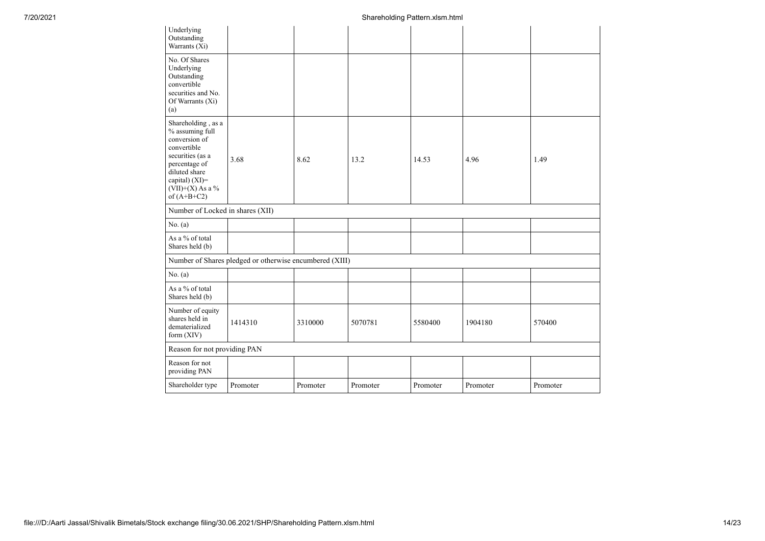| Underlying<br>Outstanding<br>Warrants (Xi)                                                                                                                                              |                                                         |          |          |          |          |          |
|-----------------------------------------------------------------------------------------------------------------------------------------------------------------------------------------|---------------------------------------------------------|----------|----------|----------|----------|----------|
| No. Of Shares<br>Underlying<br>Outstanding<br>convertible<br>securities and No.<br>Of Warrants (Xi)<br>(a)                                                                              |                                                         |          |          |          |          |          |
| Shareholding, as a<br>% assuming full<br>conversion of<br>convertible<br>securities (as a<br>percentage of<br>diluted share<br>capital) $(XI)$ =<br>$(VII)+(X)$ As a %<br>of $(A+B+C2)$ | 3.68                                                    | 8.62     | 13.2     | 14.53    | 4.96     | 1.49     |
| Number of Locked in shares (XII)                                                                                                                                                        |                                                         |          |          |          |          |          |
| No. (a)                                                                                                                                                                                 |                                                         |          |          |          |          |          |
| As a % of total<br>Shares held (b)                                                                                                                                                      |                                                         |          |          |          |          |          |
|                                                                                                                                                                                         | Number of Shares pledged or otherwise encumbered (XIII) |          |          |          |          |          |
| No. (a)                                                                                                                                                                                 |                                                         |          |          |          |          |          |
| As a % of total<br>Shares held (b)                                                                                                                                                      |                                                         |          |          |          |          |          |
| Number of equity<br>shares held in<br>dematerialized<br>form (XIV)                                                                                                                      | 1414310                                                 | 3310000  | 5070781  | 5580400  | 1904180  | 570400   |
| Reason for not providing PAN                                                                                                                                                            |                                                         |          |          |          |          |          |
| Reason for not<br>providing PAN                                                                                                                                                         |                                                         |          |          |          |          |          |
| Shareholder type                                                                                                                                                                        | Promoter                                                | Promoter | Promoter | Promoter | Promoter | Promoter |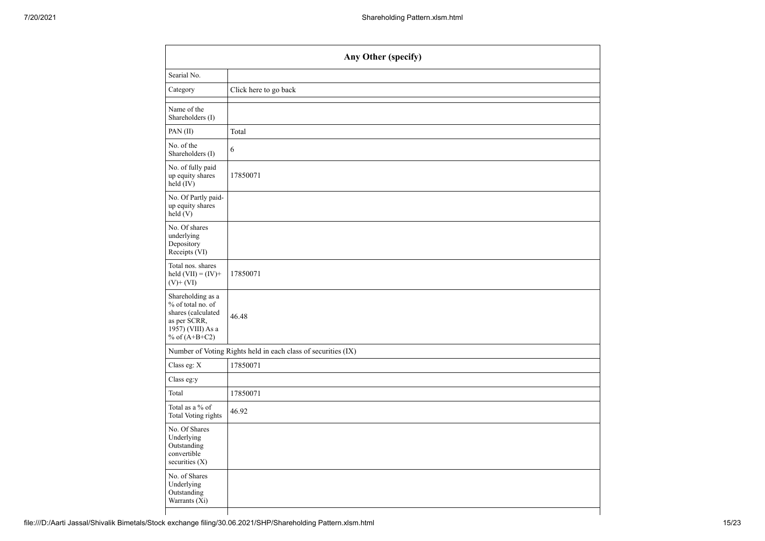|                                                                                                                      | Any Other (specify)                                           |  |  |  |  |  |
|----------------------------------------------------------------------------------------------------------------------|---------------------------------------------------------------|--|--|--|--|--|
| Searial No.                                                                                                          |                                                               |  |  |  |  |  |
| Category                                                                                                             | Click here to go back                                         |  |  |  |  |  |
| Name of the<br>Shareholders (I)                                                                                      |                                                               |  |  |  |  |  |
| PAN (II)                                                                                                             | Total                                                         |  |  |  |  |  |
| No. of the<br>Shareholders (I)                                                                                       | 6                                                             |  |  |  |  |  |
| No. of fully paid<br>up equity shares<br>$\text{held} (IV)$                                                          | 17850071                                                      |  |  |  |  |  |
| No. Of Partly paid-<br>up equity shares<br>$\text{held}(V)$                                                          |                                                               |  |  |  |  |  |
| No. Of shares<br>underlying<br>Depository<br>Receipts (VI)                                                           |                                                               |  |  |  |  |  |
| Total nos. shares<br>held $(VII) = (IV) +$<br>$(V)$ + $(VI)$                                                         | 17850071                                                      |  |  |  |  |  |
| Shareholding as a<br>% of total no. of<br>shares (calculated<br>as per SCRR,<br>1957) (VIII) As a<br>% of $(A+B+C2)$ | 46.48                                                         |  |  |  |  |  |
|                                                                                                                      | Number of Voting Rights held in each class of securities (IX) |  |  |  |  |  |
| Class eg: X                                                                                                          | 17850071                                                      |  |  |  |  |  |
| Class eg:y                                                                                                           |                                                               |  |  |  |  |  |
| Total                                                                                                                | 17850071                                                      |  |  |  |  |  |
| Total as a % of<br>Total Voting rights                                                                               | 46.92                                                         |  |  |  |  |  |
| No. Of Shares<br>Underlying<br>Outstanding<br>convertible<br>securities $(X)$                                        |                                                               |  |  |  |  |  |
| No. of Shares<br>Underlying<br>Outstanding<br>Warrants (Xi)                                                          |                                                               |  |  |  |  |  |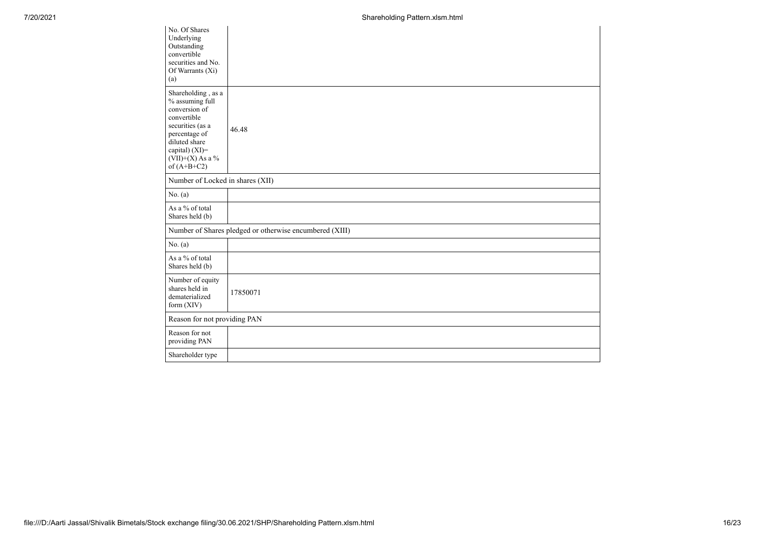| No. Of Shares<br>Underlying<br>Outstanding<br>convertible<br>securities and No.<br>Of Warrants (Xi)<br>(a)                                                                           |                                                         |
|--------------------------------------------------------------------------------------------------------------------------------------------------------------------------------------|---------------------------------------------------------|
| Shareholding, as a<br>% assuming full<br>conversion of<br>convertible<br>securities (as a<br>percentage of<br>diluted share<br>capital) (XI)=<br>$(VII)+(X)$ As a %<br>of $(A+B+C2)$ | 46.48                                                   |
| Number of Locked in shares (XII)                                                                                                                                                     |                                                         |
| No. (a)                                                                                                                                                                              |                                                         |
| As a % of total<br>Shares held (b)                                                                                                                                                   |                                                         |
|                                                                                                                                                                                      | Number of Shares pledged or otherwise encumbered (XIII) |
| No. (a)                                                                                                                                                                              |                                                         |
| As a % of total<br>Shares held (b)                                                                                                                                                   |                                                         |
| Number of equity<br>shares held in<br>dematerialized<br>form $(XIV)$                                                                                                                 | 17850071                                                |
| Reason for not providing PAN                                                                                                                                                         |                                                         |
| Reason for not<br>providing PAN                                                                                                                                                      |                                                         |
| Shareholder type                                                                                                                                                                     |                                                         |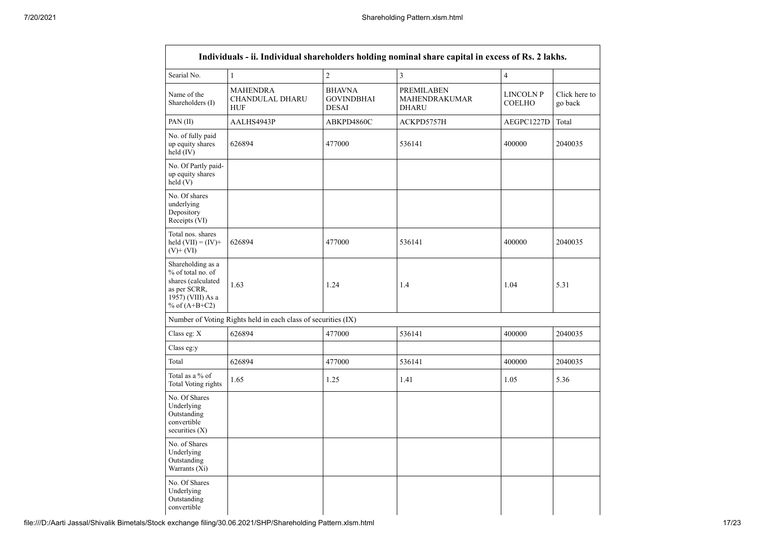|                                                                                                                        |                                                               |                                                    | Individuals - ii. Individual shareholders holding nominal share capital in excess of Rs. 2 lakhs. |                            |                          |
|------------------------------------------------------------------------------------------------------------------------|---------------------------------------------------------------|----------------------------------------------------|---------------------------------------------------------------------------------------------------|----------------------------|--------------------------|
| Searial No.                                                                                                            | $\,1$                                                         | $\overline{2}$                                     | $\mathfrak{Z}$                                                                                    | $\overline{4}$             |                          |
| Name of the<br>Shareholders (I)                                                                                        | <b>MAHENDRA</b><br>CHANDULAL DHARU<br><b>HUF</b>              | <b>BHAVNA</b><br><b>GOVINDBHAI</b><br><b>DESAI</b> | <b>PREMILABEN</b><br>MAHENDRAKUMAR<br><b>DHARU</b>                                                | LINCOLN P<br><b>COELHO</b> | Click here to<br>go back |
| PAN $(II)$                                                                                                             | AALHS4943P                                                    | ABKPD4860C                                         | ACKPD5757H                                                                                        | AEGPC1227D                 | Total                    |
| No. of fully paid<br>up equity shares<br>held (IV)                                                                     | 626894                                                        | 477000                                             | 536141                                                                                            | 400000                     | 2040035                  |
| No. Of Partly paid-<br>up equity shares<br>held(V)                                                                     |                                                               |                                                    |                                                                                                   |                            |                          |
| No. Of shares<br>underlying<br>Depository<br>Receipts (VI)                                                             |                                                               |                                                    |                                                                                                   |                            |                          |
| Total nos. shares<br>held $(VII) = (IV) +$<br>$(V)$ + $(VI)$                                                           | 626894                                                        | 477000                                             | 536141                                                                                            | 400000                     | 2040035                  |
| Shareholding as a<br>% of total no. of<br>shares (calculated<br>as per SCRR,<br>$1957)$ (VIII) As a<br>% of $(A+B+C2)$ | 1.63                                                          | 1.24                                               | 1.4                                                                                               | 1.04                       | 5.31                     |
|                                                                                                                        | Number of Voting Rights held in each class of securities (IX) |                                                    |                                                                                                   |                            |                          |
| Class eg: X                                                                                                            | 626894                                                        | 477000                                             | 536141                                                                                            | 400000                     | 2040035                  |
| Class eg:y                                                                                                             |                                                               |                                                    |                                                                                                   |                            |                          |
| Total                                                                                                                  | 626894                                                        | 477000                                             | 536141                                                                                            | 400000                     | 2040035                  |
| Total as a % of<br>Total Voting rights                                                                                 | 1.65                                                          | 1.25                                               | 1.41                                                                                              | 1.05                       | 5.36                     |
| No. Of Shares<br>Underlying<br>Outstanding<br>convertible<br>securities $(X)$                                          |                                                               |                                                    |                                                                                                   |                            |                          |
| No. of Shares<br>Underlying<br>Outstanding<br>Warrants (Xi)                                                            |                                                               |                                                    |                                                                                                   |                            |                          |
| No. Of Shares<br>Underlying<br>Outstanding<br>convertible                                                              |                                                               |                                                    |                                                                                                   |                            |                          |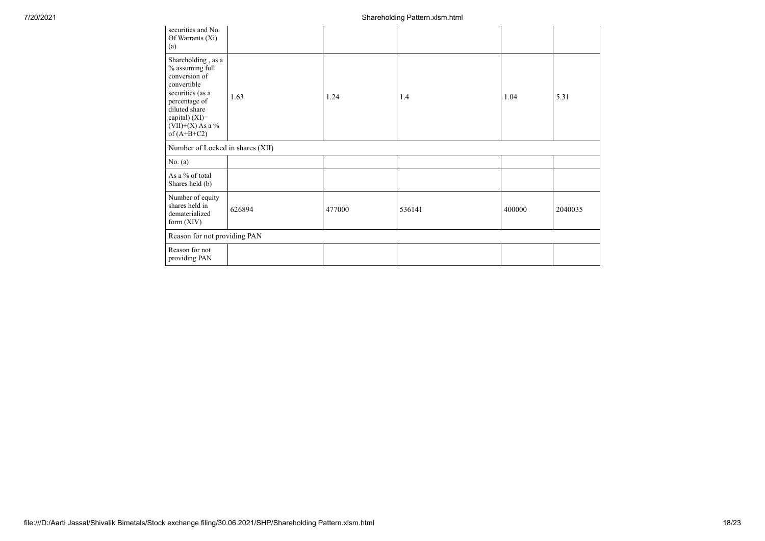| securities and No.<br>Of Warrants (Xi)<br>(a)                                                                                                                                        |        |        |        |        |         |
|--------------------------------------------------------------------------------------------------------------------------------------------------------------------------------------|--------|--------|--------|--------|---------|
| Shareholding, as a<br>% assuming full<br>conversion of<br>convertible<br>securities (as a<br>percentage of<br>diluted share<br>capital) (XI)=<br>$(VII)+(X)$ As a %<br>of $(A+B+C2)$ | 1.63   | 1.24   | 1.4    | 1.04   | 5.31    |
| Number of Locked in shares (XII)                                                                                                                                                     |        |        |        |        |         |
| No. (a)                                                                                                                                                                              |        |        |        |        |         |
| As a % of total<br>Shares held (b)                                                                                                                                                   |        |        |        |        |         |
| Number of equity<br>shares held in<br>dematerialized<br>form $(XIV)$                                                                                                                 | 626894 | 477000 | 536141 | 400000 | 2040035 |
| Reason for not providing PAN                                                                                                                                                         |        |        |        |        |         |
| Reason for not<br>providing PAN                                                                                                                                                      |        |        |        |        |         |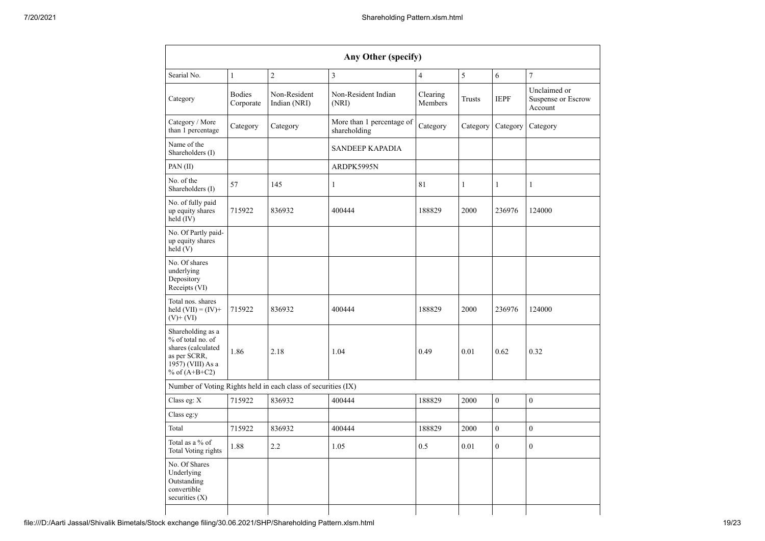|                                                                                                                      |                            |                                                               | Any Other (specify)                       |                     |              |                |                                               |
|----------------------------------------------------------------------------------------------------------------------|----------------------------|---------------------------------------------------------------|-------------------------------------------|---------------------|--------------|----------------|-----------------------------------------------|
| Searial No.                                                                                                          | $\mathbf{1}$               | $\overline{c}$                                                | $\overline{\mathbf{3}}$                   | $\overline{4}$      | 5            | 6              | $\overline{7}$                                |
| Category                                                                                                             | <b>Bodies</b><br>Corporate | Non-Resident<br>Indian (NRI)                                  | Non-Resident Indian<br>(NRI)              | Clearing<br>Members | Trusts       | <b>IEPF</b>    | Unclaimed or<br>Suspense or Escrow<br>Account |
| Category / More<br>than 1 percentage                                                                                 | Category                   | Category                                                      | More than 1 percentage of<br>shareholding | Category            | Category     | Category       | Category                                      |
| Name of the<br>Shareholders (I)                                                                                      |                            |                                                               | <b>SANDEEP KAPADIA</b>                    |                     |              |                |                                               |
| PAN $(II)$                                                                                                           |                            |                                                               | ARDPK5995N                                |                     |              |                |                                               |
| No. of the<br>Shareholders (I)                                                                                       | 57                         | 145                                                           | $\mathbf{1}$                              | 81                  | $\mathbf{1}$ | $\mathbf{1}$   | $\mathbf{1}$                                  |
| No. of fully paid<br>up equity shares<br>held (IV)                                                                   | 715922                     | 836932                                                        | 400444                                    | 188829              | 2000         | 236976         | 124000                                        |
| No. Of Partly paid-<br>up equity shares<br>held(V)                                                                   |                            |                                                               |                                           |                     |              |                |                                               |
| No. Of shares<br>underlying<br>Depository<br>Receipts (VI)                                                           |                            |                                                               |                                           |                     |              |                |                                               |
| Total nos. shares<br>held $(VII) = (IV) +$<br>$(V)+(VI)$                                                             | 715922                     | 836932                                                        | 400444                                    | 188829              | 2000         | 236976         | 124000                                        |
| Shareholding as a<br>% of total no. of<br>shares (calculated<br>as per SCRR,<br>1957) (VIII) As a<br>% of $(A+B+C2)$ | 1.86                       | 2.18                                                          | 1.04                                      | 0.49                | 0.01         | 0.62           | 0.32                                          |
|                                                                                                                      |                            | Number of Voting Rights held in each class of securities (IX) |                                           |                     |              |                |                                               |
| Class eg: $X$                                                                                                        | 715922                     | 836932                                                        | 400444                                    | 188829              | 2000         | $\mathbf{0}$   | $\boldsymbol{0}$                              |
| Class eg:y                                                                                                           |                            |                                                               |                                           |                     |              |                |                                               |
| Total                                                                                                                | 715922                     | 836932                                                        | 400444                                    | 188829              | 2000         | $\theta$       | $\theta$                                      |
| Total as a % of<br>Total Voting rights                                                                               | 1.88                       | 2.2                                                           | 1.05                                      | 0.5                 | 0.01         | $\overline{0}$ | $\boldsymbol{0}$                              |
| No. Of Shares<br>Underlying<br>Outstanding<br>convertible<br>securities $(X)$                                        |                            |                                                               |                                           |                     |              |                |                                               |
|                                                                                                                      |                            |                                                               |                                           |                     |              |                |                                               |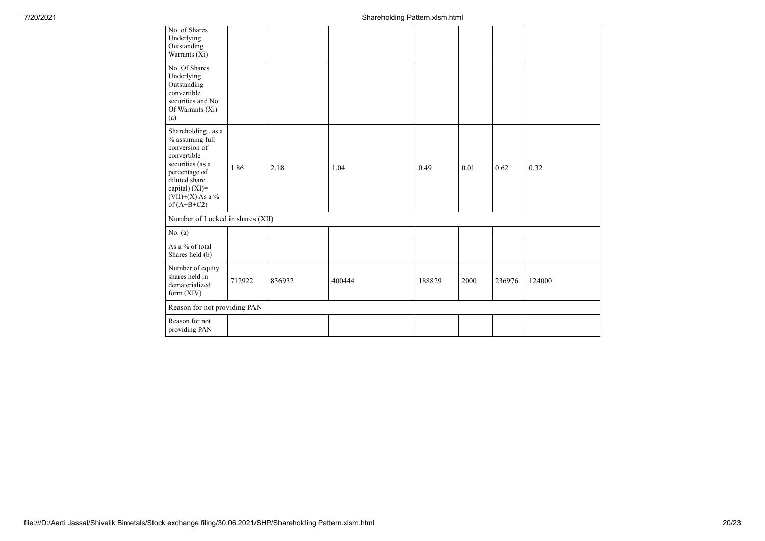| No. of Shares<br>Underlying<br>Outstanding<br>Warrants $(X_i)$                                                                                                                       |                              |        |        |        |      |        |        |
|--------------------------------------------------------------------------------------------------------------------------------------------------------------------------------------|------------------------------|--------|--------|--------|------|--------|--------|
| No. Of Shares<br>Underlying<br>Outstanding<br>convertible<br>securities and No.<br>Of Warrants (Xi)<br>(a)                                                                           |                              |        |        |        |      |        |        |
| Shareholding, as a<br>% assuming full<br>conversion of<br>convertible<br>securities (as a<br>percentage of<br>diluted share<br>capital) (XI)=<br>$(VII)+(X)$ As a %<br>of $(A+B+C2)$ | 1.86                         | 2.18   | 1.04   | 0.49   | 0.01 | 0.62   | 0.32   |
| Number of Locked in shares (XII)                                                                                                                                                     |                              |        |        |        |      |        |        |
| No. (a)                                                                                                                                                                              |                              |        |        |        |      |        |        |
| As a % of total<br>Shares held (b)                                                                                                                                                   |                              |        |        |        |      |        |        |
| Number of equity<br>shares held in<br>dematerialized<br>form (XIV)                                                                                                                   | 712922                       | 836932 | 400444 | 188829 | 2000 | 236976 | 124000 |
|                                                                                                                                                                                      | Reason for not providing PAN |        |        |        |      |        |        |
| Reason for not<br>providing PAN                                                                                                                                                      |                              |        |        |        |      |        |        |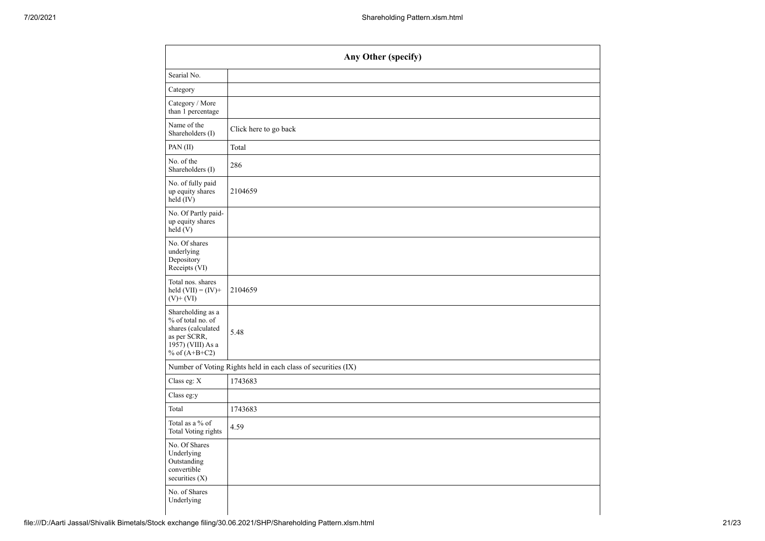| Any Other (specify)                                                                                                  |                                                               |  |  |  |  |
|----------------------------------------------------------------------------------------------------------------------|---------------------------------------------------------------|--|--|--|--|
| Searial No.                                                                                                          |                                                               |  |  |  |  |
| Category                                                                                                             |                                                               |  |  |  |  |
| Category / More<br>than 1 percentage                                                                                 |                                                               |  |  |  |  |
| Name of the<br>Shareholders (I)                                                                                      | Click here to go back                                         |  |  |  |  |
| PAN (II)                                                                                                             | Total                                                         |  |  |  |  |
| No. of the<br>Shareholders (I)                                                                                       | 286                                                           |  |  |  |  |
| No. of fully paid<br>up equity shares<br>held (IV)                                                                   | 2104659                                                       |  |  |  |  |
| No. Of Partly paid-<br>up equity shares<br>held(V)                                                                   |                                                               |  |  |  |  |
| No. Of shares<br>underlying<br>Depository<br>Receipts (VI)                                                           |                                                               |  |  |  |  |
| Total nos. shares<br>held $(VII) = (IV) +$<br>$(V)$ + $(VI)$                                                         | 2104659                                                       |  |  |  |  |
| Shareholding as a<br>% of total no. of<br>shares (calculated<br>as per SCRR,<br>1957) (VIII) As a<br>% of $(A+B+C2)$ | 5.48                                                          |  |  |  |  |
|                                                                                                                      | Number of Voting Rights held in each class of securities (IX) |  |  |  |  |
| Class eg: $X$                                                                                                        | 1743683                                                       |  |  |  |  |
| Class eg:y                                                                                                           |                                                               |  |  |  |  |
| Total                                                                                                                | 1743683                                                       |  |  |  |  |
| Total as a % of<br>Total Voting rights                                                                               | 4.59                                                          |  |  |  |  |
| No. Of Shares<br>Underlying<br>Outstanding<br>convertible<br>securities $(X)$                                        |                                                               |  |  |  |  |
| No. of Shares<br>Underlying                                                                                          |                                                               |  |  |  |  |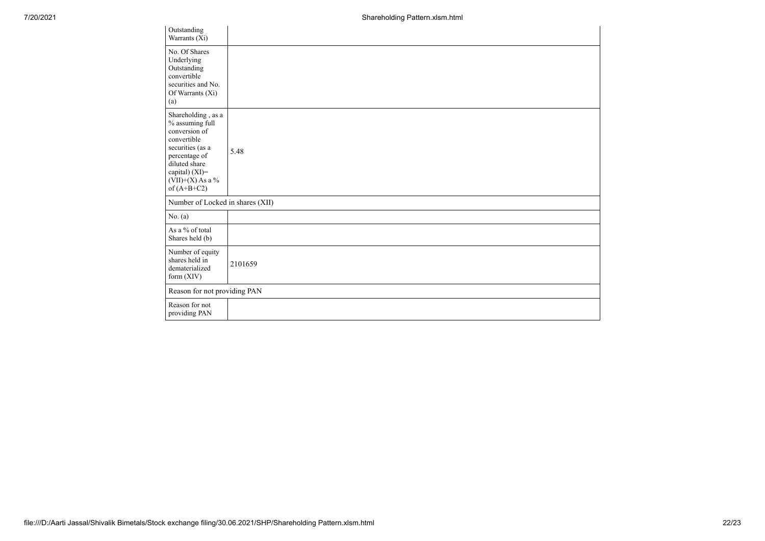| Outstanding<br>Warrants $(X_i)$                                                                                                                                                         |         |
|-----------------------------------------------------------------------------------------------------------------------------------------------------------------------------------------|---------|
| No. Of Shares<br>Underlying<br>Outstanding<br>convertible<br>securities and No.<br>Of Warrants (Xi)<br>(a)                                                                              |         |
| Shareholding, as a<br>$\%$ assuming full<br>conversion of<br>convertible<br>securities (as a<br>percentage of<br>diluted share<br>capital) (XI)=<br>$(VII)+(X)$ As a %<br>of $(A+B+C2)$ | 5.48    |
| Number of Locked in shares (XII)                                                                                                                                                        |         |
| No. (a)                                                                                                                                                                                 |         |
| As a % of total<br>Shares held (b)                                                                                                                                                      |         |
| Number of equity<br>shares held in<br>dematerialized<br>form $(XIV)$                                                                                                                    | 2101659 |
| Reason for not providing PAN                                                                                                                                                            |         |
| Reason for not<br>providing PAN                                                                                                                                                         |         |